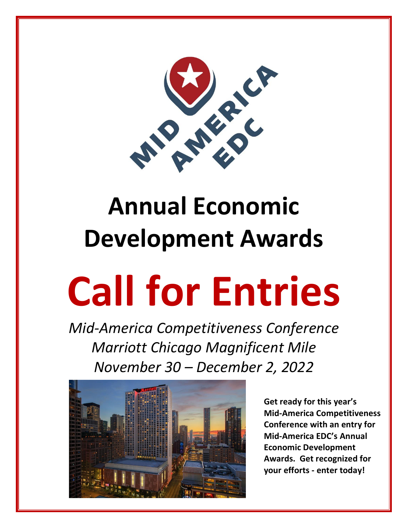

# **Development Awards**

## **Call for Entries**

*Mid-America Competitiveness Conference Marriott Chicago Magnificent Mile November 30 – December 2, 2022*



**Get ready for this year's Mid-America Competitiveness Conference with an entry for Mid-America EDC's Annual Economic Development Awards. Get recognized for your efforts - enter today!**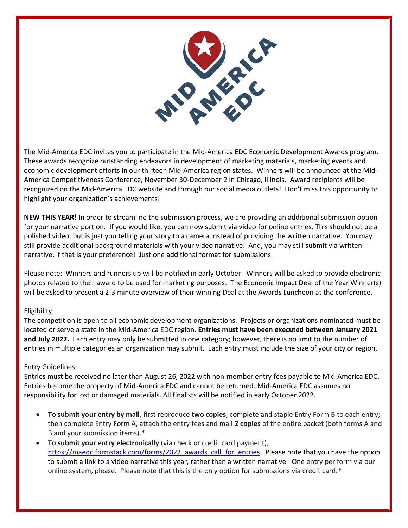

The Mid-America EDC invites you to participate in the Mid-America EDC Economic Development Awards program. These awards recognize outstanding endeavors in development of marketing materials, marketing events and economic development efforts in our thirteen Mid-America region states. Winners will be announced at the Mid-America Competitiveness Conference, November 30-December 2 in Chicago, Illinois. Award recipients will be recognized on the Mid-America EDC website and through our social media outlets! Don't miss this opportunity to highlight your organization's achievements!

**NEW THIS YEAR!** In order to streamline the submission process, we are providing an additional submission option for your narrative portion. If you would like, you can now submit via video for online entries. This should not be a polished video, but is just you telling your story to a camera instead of providing the written narrative. You may still provide additional background materials with your video narrative. And, you may still submit via written narrative, if that is your preference! Just one additional format for submissions.

Please note: Winners and runners up will be notified in early October. Winners will be asked to provide electronic photos related to their award to be used for marketing purposes. The Economic Impact Deal of the Year Winner(s) will be asked to present a 2-3 minute overview of their winning Deal at the Awards Luncheon at the conference.

### Eligibility:

The competition is open to all economic development organizations. Projects or organizations nominated must be located or serve a state in the Mid-America EDC region. **Entries must have been executed between January 2021 and July 2022.** Each entry may only be submitted in one category; however, there is no limit to the number of entries in multiple categories an organization may submit. Each entry must include the size of your city or region.

### Entry Guidelines:

Entries must be received no later than August 26, 2022 with non-member entry fees payable to Mid-America EDC. Entries become the property of Mid-America EDC and cannot be returned. Mid-America EDC assumes no responsibility for lost or damaged materials. All finalists will be notified in early October 2022.

- **To submit your entry by mail**, first reproduce **two copies**, complete and staple Entry Form B to each entry; then complete Entry Form A, attach the entry fees and mail **2 copies** of the entire packet (both forms A and B and your submission items).\*
- **To submit your entry electronically** (via check or credit card payment), [https://maedc.formstack.com/forms/2022\\_awards\\_call\\_for\\_entries.](https://maedc.formstack.com/forms/2022_awards_call_for_entries) Please note that you have the option to submit a link to a video narrative this year, rather than a written narrative. One entry per form via our online system, please. Please note that this is the only option for submissions via credit card.\*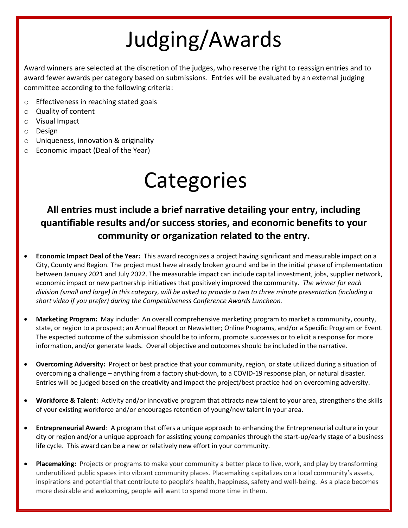### Judging/Awards

Award winners are selected at the discretion of the judges, who reserve the right to reassign entries and to award fewer awards per category based on submissions. Entries will be evaluated by an external judging committee according to the following criteria:

- o Effectiveness in reaching stated goals
- o Quality of content
- o Visual Impact
- o Design
- o Uniqueness, innovation & originality
- o Economic impact (Deal of the Year)

### **Categories**

### **All entries must include a brief narrative detailing your entry, including quantifiable results and/or success stories, and economic benefits to your community or organization related to the entry.**

- **Economic Impact Deal of the Year:** This award recognizes a project having significant and measurable impact on a City, County and Region. The project must have already broken ground and be in the initial phase of implementation between January 2021 and July 2022. The measurable impact can include capital investment, jobs, supplier network, economic impact or new partnership initiatives that positively improved the community. *The winner for each division (small and large) in this category, will be asked to provide a two to three minute presentation (including a short video if you prefer) during the Competitiveness Conference Awards Luncheon.*
- **Marketing Program:** May include: An overall comprehensive marketing program to market a community, county, state, or region to a prospect; an Annual Report or Newsletter; Online Programs, and/or a Specific Program or Event. The expected outcome of the submission should be to inform, promote successes or to elicit a response for more information, and/or generate leads. Overall objective and outcomes should be included in the narrative.
- **Overcoming Adversity:** Project or best practice that your community, region, or state utilized during a situation of overcoming a challenge – anything from a factory shut-down, to a COVID-19 response plan, or natural disaster. Entries will be judged based on the creativity and impact the project/best practice had on overcoming adversity.
- **Workforce & Talent:** Activity and/or innovative program that attracts new talent to your area, strengthens the skills of your existing workforce and/or encourages retention of young/new talent in your area.
- **Entrepreneurial Award**: A program that offers a unique approach to enhancing the Entrepreneurial culture in your city or region and/or a unique approach for assisting young companies through the start-up/early stage of a business life cycle. This award can be a new or relatively new effort in your community.
- **Placemaking:** Projects or programs to make your community a better place to live, work, and play by transforming underutilized public spaces into vibrant community places. Placemaking capitalizes on a local community's assets, inspirations and potential that contribute to people's health, happiness, safety and well-being. As a place becomes more desirable and welcoming, people will want to spend more time in them.